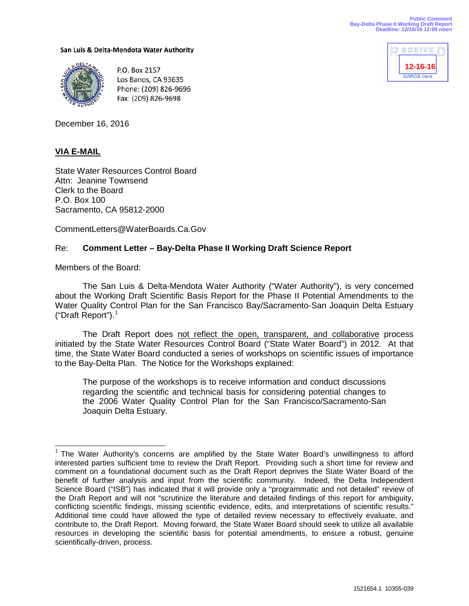San Luis & Delta-Mendota Water Authority



P.O. Box 2157 Los Banos, CA 93635 Phone: (209) 826-9696 Fax: (209) 826-9698



December 16, 2016

# **VIA E-MAIL**

State Water Resources Control Board Attn: Jeanine Townsend Clerk to the Board P.O. Box 100 Sacramento, CA 95812-2000

CommentLetters@WaterBoards.Ca.Gov

## Re: **Comment Letter – Bay-Delta Phase II Working Draft Science Report**

Members of the Board:

The San Luis & Delta-Mendota Water Authority ("Water Authority"), is very concerned about the Working Draft Scientific Basis Report for the Phase II Potential Amendments to the Water Quality Control Plan for the San Francisco Bay/Sacramento-San Joaquin Delta Estuary ("Draft Report").[1](#page-0-0)

The Draft Report does not reflect the open, transparent, and collaborative process initiated by the State Water Resources Control Board ("State Water Board") in 2012. At that time, the State Water Board conducted a series of workshops on scientific issues of importance to the Bay-Delta Plan. The Notice for the Workshops explained:

The purpose of the workshops is to receive information and conduct discussions regarding the scientific and technical basis for considering potential changes to the 2006 Water Quality Control Plan for the San Francisco/Sacramento-San Joaquin Delta Estuary.

<span id="page-0-1"></span><span id="page-0-0"></span><sup>&</sup>lt;sup>1</sup> The Water Authority's concerns are amplified by the State Water Board's unwillingness to afford interested parties sufficient time to review the Draft Report. Providing such a short time for review and comment on a foundational document such as the Draft Report deprives the State Water Board of the benefit of further analysis and input from the scientific community. Indeed, the Delta Independent Science Board ("ISB") has indicated that it will provide only a "programmatic and not detailed" review of the Draft Report and will not "scrutinize the literature and detailed findings of this report for ambiguity, conflicting scientific findings, missing scientific evidence, edits, and interpretations of scientific results." Additional time could have allowed the type of detailed review necessary to effectively evaluate, and contribute to, the Draft Report. Moving forward, the State Water Board should seek to utilize all available resources in developing the scientific basis for potential amendments, to ensure a robust, genuine scientifically-driven, process.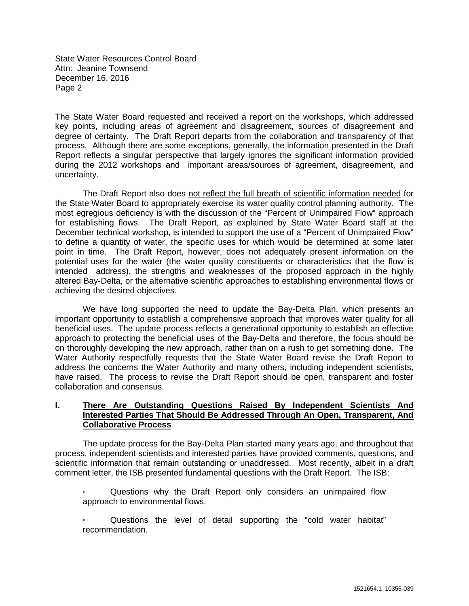The State Water Board requested and received a report on the workshops, which addressed key points, including areas of agreement and disagreement, sources of disagreement and degree of certainty. The Draft Report departs from the collaboration and transparency of that process. Although there are some exceptions, generally, the information presented in the Draft Report reflects a singular perspective that largely ignores the significant information provided during the 2012 workshops and important areas/sources of agreement, disagreement, and uncertainty.

The Draft Report also does not reflect the full breath of scientific information needed for the State Water Board to appropriately exercise its water quality control planning authority. The most egregious deficiency is with the discussion of the "Percent of Unimpaired Flow" approach for establishing flows. The Draft Report, as explained by State Water Board staff at the December technical workshop, is intended to support the use of a "Percent of Unimpaired Flow" to define a quantity of water, the specific uses for which would be determined at some later point in time. The Draft Report, however, does not adequately present information on the potential uses for the water (the water quality constituents or characteristics that the flow is intended address), the strengths and weaknesses of the proposed approach in the highly altered Bay-Delta, or the alternative scientific approaches to establishing environmental flows or achieving the desired objectives.

We have long supported the need to update the Bay-Delta Plan, which presents an important opportunity to establish a comprehensive approach that improves water quality for all beneficial uses. The update process reflects a generational opportunity to establish an effective approach to protecting the beneficial uses of the Bay-Delta and therefore, the focus should be on thoroughly developing the new approach, rather than on a rush to get something done. The Water Authority respectfully requests that the State Water Board revise the Draft Report to address the concerns the Water Authority and many others, including independent scientists, have raised. The process to revise the Draft Report should be open, transparent and foster collaboration and consensus.

### **I. There Are Outstanding Questions Raised By Independent Scientists And Interested Parties That Should Be Addressed Through An Open, Transparent, And Collaborative Process**

The update process for the Bay-Delta Plan started many years ago, and throughout that process, independent scientists and interested parties have provided comments, questions, and scientific information that remain outstanding or unaddressed. Most recently, albeit in a draft comment letter, the ISB presented fundamental questions with the Draft Report. The ISB:

- **•** Questions why the Draft Report only considers an unimpaired flow approach to environmental flows.
- Questions the level of detail supporting the "cold water habitat" recommendation.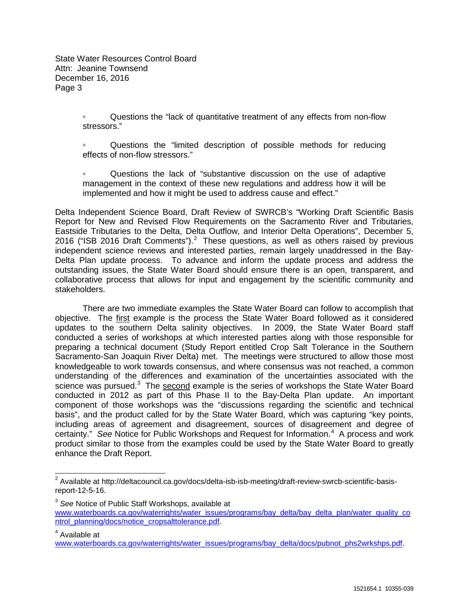> ▫ Questions the "lack of quantitative treatment of any effects from non-flow stressors."

> ▫ Questions the "limited description of possible methods for reducing effects of non-flow stressors."

> ▫ Questions the lack of "substantive discussion on the use of adaptive management in the context of these new regulations and address how it will be implemented and how it might be used to address cause and effect."

Delta Independent Science Board, Draft Review of SWRCB's "Working Draft Scientific Basis Report for New and Revised Flow Requirements on the Sacramento River and Tributaries, Eastside Tributaries to the Delta, Delta Outflow, and Interior Delta Operations", December 5, [2](#page-0-1)016 ("ISB 2016 Draft Comments"). $^2$  These questions, as well as others raised by previous independent science reviews and interested parties, remain largely unaddressed in the Bay-Delta Plan update process. To advance and inform the update process and address the outstanding issues, the State Water Board should ensure there is an open, transparent, and collaborative process that allows for input and engagement by the scientific community and stakeholders.

There are two immediate examples the State Water Board can follow to accomplish that objective. The first example is the process the State Water Board followed as it considered updates to the southern Delta salinity objectives. In 2009, the State Water Board staff conducted a series of workshops at which interested parties along with those responsible for preparing a technical document (Study Report entitled Crop Salt Tolerance in the Southern Sacramento-San Joaquin River Delta) met. The meetings were structured to allow those most knowledgeable to work towards consensus, and where consensus was not reached, a common understanding of the differences and examination of the uncertainties associated with the science was pursued.<sup>[3](#page-2-0)</sup> The second example is the series of workshops the State Water Board conducted in 2012 as part of this Phase II to the Bay-Delta Plan update. An important component of those workshops was the "discussions regarding the scientific and technical basis", and the product called for by the State Water Board, which was capturing "key points, including areas of agreement and disagreement, sources of disagreement and degree of certainty." See Notice for Public Workshops and Request for Information.<sup>[4](#page-2-1)</sup> A process and work product similar to those from the examples could be used by the State Water Board to greatly enhance the Draft Report.

<span id="page-2-1"></span><sup>4</sup> Available at

<span id="page-2-2"></span><sup>&</sup>lt;sup>2</sup> Available at http://deltacouncil.ca.gov/docs/delta-isb-isb-meeting/draft-review-swrcb-scientific-basisreport-12-5-16.

<span id="page-2-0"></span><sup>3</sup> *See* Notice of Public Staff Workshops, available at [www.waterboards.ca.gov/waterrights/water\\_issues/programs/bay\\_delta/bay\\_delta\\_plan/water\\_quality\\_co](http://www.waterboards.ca.gov/waterrights/water_issues/programs/bay_delta/bay_delta_plan/water_quality_control_planning/docs/notice_cropsalttolerance.pdf)\_ [ntrol\\_planning/docs/notice\\_cropsalttolerance.pdf.](http://www.waterboards.ca.gov/waterrights/water_issues/programs/bay_delta/bay_delta_plan/water_quality_control_planning/docs/notice_cropsalttolerance.pdf)

[www.waterboards.ca.gov/waterrights/water\\_issues/programs/bay\\_delta/docs/pubnot\\_phs2wrkshps.pdf.](http://www.waterboards.ca.gov/waterrights/water_issues/programs/bay_delta/docs/pubnot_phs2wrkshps.pdf)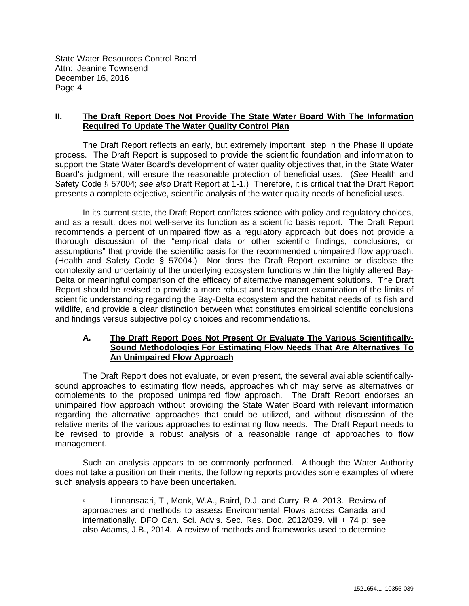## **II. The Draft Report Does Not Provide The State Water Board With The Information Required To Update The Water Quality Control Plan**

The Draft Report reflects an early, but extremely important, step in the Phase II update process. The Draft Report is supposed to provide the scientific foundation and information to support the State Water Board's development of water quality objectives that, in the State Water Board's judgment, will ensure the reasonable protection of beneficial uses. (*See* Health and Safety Code § 57004; *see also* Draft Report at 1-1.) Therefore, it is critical that the Draft Report presents a complete objective, scientific analysis of the water quality needs of beneficial uses.

In its current state, the Draft Report conflates science with policy and regulatory choices, and as a result, does not well-serve its function as a scientific basis report. The Draft Report recommends a percent of unimpaired flow as a regulatory approach but does not provide a thorough discussion of the "empirical data or other scientific findings, conclusions, or assumptions" that provide the scientific basis for the recommended unimpaired flow approach. (Health and Safety Code § 57004.) Nor does the Draft Report examine or disclose the complexity and uncertainty of the underlying ecosystem functions within the highly altered Bay-Delta or meaningful comparison of the efficacy of alternative management solutions. The Draft Report should be revised to provide a more robust and transparent examination of the limits of scientific understanding regarding the Bay-Delta ecosystem and the habitat needs of its fish and wildlife, and provide a clear distinction between what constitutes empirical scientific conclusions and findings versus subjective policy choices and recommendations.

#### **A. The Draft Report Does Not Present Or Evaluate The Various Scientifically-Sound Methodologies For Estimating Flow Needs That Are Alternatives To An Unimpaired Flow Approach**

The Draft Report does not evaluate, or even present, the several available scientificallysound approaches to estimating flow needs, approaches which may serve as alternatives or complements to the proposed unimpaired flow approach. The Draft Report endorses an unimpaired flow approach without providing the State Water Board with relevant information regarding the alternative approaches that could be utilized, and without discussion of the relative merits of the various approaches to estimating flow needs. The Draft Report needs to be revised to provide a robust analysis of a reasonable range of approaches to flow management.

Such an analysis appears to be commonly performed. Although the Water Authority does not take a position on their merits, the following reports provides some examples of where such analysis appears to have been undertaken.

▫ Linnansaari, T., Monk, W.A., Baird, D.J. and Curry, R.A. 2013. Review of approaches and methods to assess Environmental Flows across Canada and internationally. DFO Can. Sci. Advis. Sec. Res. Doc. 2012/039. viii + 74 p; see also Adams, J.B., 2014. A review of methods and frameworks used to determine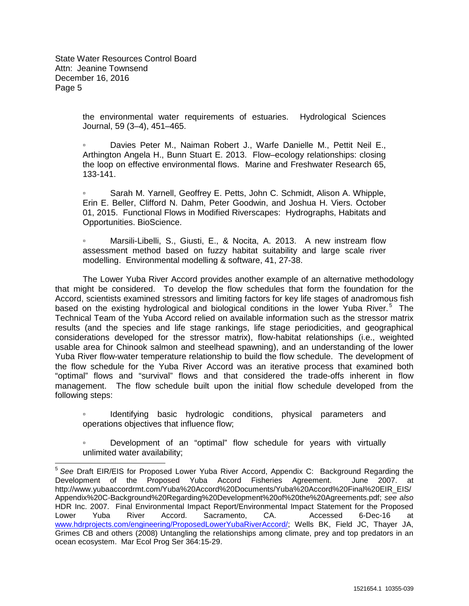> the environmental water requirements of estuaries. Hydrological Sciences Journal, 59 (3–4), 451–465.

> ▫ Davies Peter M., Naiman Robert J., Warfe Danielle M., Pettit Neil E., Arthington Angela H., Bunn Stuart E. 2013. Flow–ecology relationships: closing the loop on effective environmental flows. Marine and Freshwater Research 65, 133-141.

> ▫ Sarah M. Yarnell, Geoffrey E. Petts, John C. Schmidt, Alison A. Whipple, Erin E. Beller, Clifford N. Dahm, Peter Goodwin, and Joshua H. Viers. October 01, 2015. Functional Flows in Modified Riverscapes: Hydrographs, Habitats and Opportunities. BioScience.

> ▫ Marsili-Libelli, S., Giusti, E., & Nocita, A. 2013. A new instream flow assessment method based on fuzzy habitat suitability and large scale river modelling. Environmental modelling & software, 41, 27-38.

The Lower Yuba River Accord provides another example of an alternative methodology that might be considered. To develop the flow schedules that form the foundation for the Accord, scientists examined stressors and limiting factors for key life stages of anadromous fish based on the existing hydrological and biological conditions in the lower Yuba River.<sup>[5](#page-2-2)</sup> The Technical Team of the Yuba Accord relied on available information such as the stressor matrix results (and the species and life stage rankings, life stage periodicities, and geographical considerations developed for the stressor matrix), flow-habitat relationships (i.e., weighted usable area for Chinook salmon and steelhead spawning), and an understanding of the lower Yuba River flow-water temperature relationship to build the flow schedule. The development of the flow schedule for the Yuba River Accord was an iterative process that examined both "optimal" flows and "survival" flows and that considered the trade-offs inherent in flow management. The flow schedule built upon the initial flow schedule developed from the following steps:

▫ Identifying basic hydrologic conditions, physical parameters and operations objectives that influence flow;

▫ Development of an "optimal" flow schedule for years with virtually unlimited water availability;

<span id="page-4-0"></span> <sup>5</sup> *See* Draft EIR/EIS for Proposed Lower Yuba River Accord, Appendix C: Background Regarding the Development of the Proposed Yuba Accord Fisheries Agreement. June 2007. at http://www.yubaaccordrmt.com/Yuba%20Accord%20Documents/Yuba%20Accord%20Final%20EIR\_EIS/ Appendix%20C-Background%20Regarding%20Development%20of%20the%20Agreements.pdf; *see also* HDR Inc. 2007. Final Environmental Impact Report/Environmental Impact Statement for the Proposed Lower Yuba River Accord. Sacramento, CA. Accessed 6-Dec-16 at [www.hdrprojects.com/engineering/ProposedLowerYubaRiverAccord/;](http://www.hdrprojects.com/engineering/ProposedLowerYubaRiverAccord/) Wells BK, Field JC, Thayer JA, Grimes CB and others (2008) Untangling the relationships among climate, prey and top predators in an ocean ecosystem. Mar Ecol Prog Ser 364:15-29.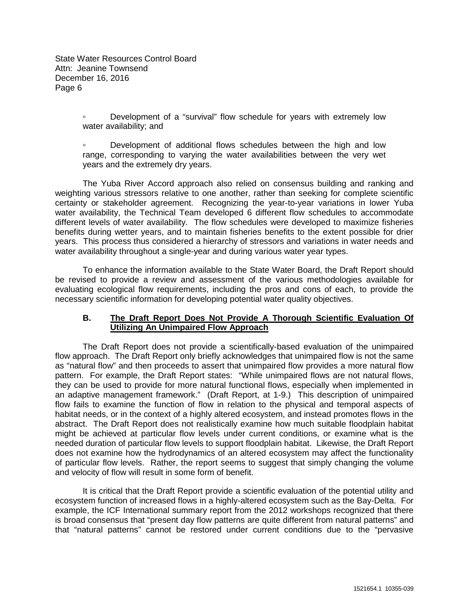> ▫ Development of a "survival" flow schedule for years with extremely low water availability; and

> ▫ Development of additional flows schedules between the high and low range, corresponding to varying the water availabilities between the very wet years and the extremely dry years.

The Yuba River Accord approach also relied on consensus building and ranking and weighting various stressors relative to one another, rather than seeking for complete scientific certainty or stakeholder agreement. Recognizing the year-to-year variations in lower Yuba water availability, the Technical Team developed 6 different flow schedules to accommodate different levels of water availability. The flow schedules were developed to maximize fisheries benefits during wetter years, and to maintain fisheries benefits to the extent possible for drier years. This process thus considered a hierarchy of stressors and variations in water needs and water availability throughout a single-year and during various water year types.

To enhance the information available to the State Water Board, the Draft Report should be revised to provide a review and assessment of the various methodologies available for evaluating ecological flow requirements, including the pros and cons of each, to provide the necessary scientific information for developing potential water quality objectives.

## **B. The Draft Report Does Not Provide A Thorough Scientific Evaluation Of Utilizing An Unimpaired Flow Approach**

The Draft Report does not provide a scientifically-based evaluation of the unimpaired flow approach. The Draft Report only briefly acknowledges that unimpaired flow is not the same as "natural flow" and then proceeds to assert that unimpaired flow provides a more natural flow pattern. For example, the Draft Report states: "While unimpaired flows are not natural flows, they can be used to provide for more natural functional flows, especially when implemented in an adaptive management framework." (Draft Report, at 1-9.) This description of unimpaired flow fails to examine the function of flow in relation to the physical and temporal aspects of habitat needs, or in the context of a highly altered ecosystem, and instead promotes flows in the abstract. The Draft Report does not realistically examine how much suitable floodplain habitat might be achieved at particular flow levels under current conditions, or examine what is the needed duration of particular flow levels to support floodplain habitat. Likewise, the Draft Report does not examine how the hydrodynamics of an altered ecosystem may affect the functionality of particular flow levels. Rather, the report seems to suggest that simply changing the volume and velocity of flow will result in some form of benefit.

It is critical that the Draft Report provide a scientific evaluation of the potential utility and ecosystem function of increased flows in a highly-altered ecosystem such as the Bay-Delta. For example, the ICF International summary report from the 2012 workshops recognized that there is broad consensus that "present day flow patterns are quite different from natural patterns" and that "natural patterns" cannot be restored under current conditions due to the "pervasive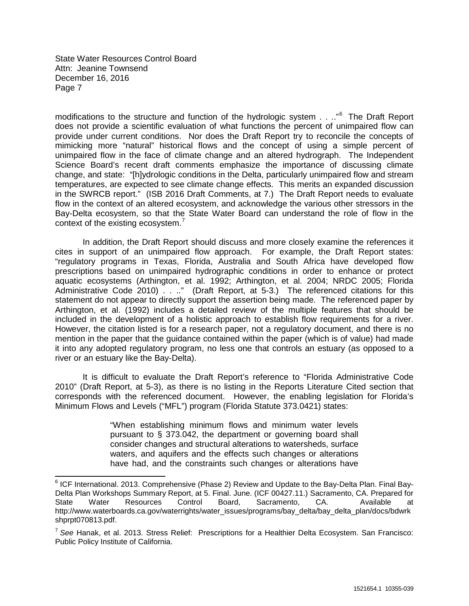modifications to the structure and function of the hydrologic system . . .."<sup>[6](#page-4-0)</sup> The Draft Report does not provide a scientific evaluation of what functions the percent of unimpaired flow can provide under current conditions. Nor does the Draft Report try to reconcile the concepts of mimicking more "natural" historical flows and the concept of using a simple percent of unimpaired flow in the face of climate change and an altered hydrograph. The Independent Science Board's recent draft comments emphasize the importance of discussing climate change, and state: "[h]ydrologic conditions in the Delta, particularly unimpaired flow and stream temperatures, are expected to see climate change effects. This merits an expanded discussion in the SWRCB report." (ISB 2016 Draft Comments, at 7.) The Draft Report needs to evaluate flow in the context of an altered ecosystem, and acknowledge the various other stressors in the Bay-Delta ecosystem, so that the State Water Board can understand the role of flow in the context of the existing ecosystem.<sup>[7](#page-6-0)</sup>

In addition, the Draft Report should discuss and more closely examine the references it cites in support of an unimpaired flow approach. For example, the Draft Report states: "regulatory programs in Texas, Florida, Australia and South Africa have developed flow prescriptions based on unimpaired hydrographic conditions in order to enhance or protect aquatic ecosystems (Arthington, et al. 1992; Arthington, et al. 2004; NRDC 2005; Florida Administrative Code 2010) . . .." (Draft Report, at 5-3.) The referenced citations for this statement do not appear to directly support the assertion being made. The referenced paper by Arthington, et al. (1992) includes a detailed review of the multiple features that should be included in the development of a holistic approach to establish flow requirements for a river. However, the citation listed is for a research paper, not a regulatory document, and there is no mention in the paper that the guidance contained within the paper (which is of value) had made it into any adopted regulatory program, no less one that controls an estuary (as opposed to a river or an estuary like the Bay-Delta).

It is difficult to evaluate the Draft Report's reference to "Florida Administrative Code 2010" (Draft Report, at 5-3), as there is no listing in the Reports Literature Cited section that corresponds with the referenced document. However, the enabling legislation for Florida's Minimum Flows and Levels ("MFL") program (Florida Statute 373.0421) states:

> "When establishing minimum flows and minimum water levels pursuant to § 373.042, the department or governing board shall consider changes and structural alterations to watersheds, surface waters, and aquifers and the effects such changes or alterations have had, and the constraints such changes or alterations have

 $6$  ICF International. 2013. Comprehensive (Phase 2) Review and Update to the Bay-Delta Plan. Final Bay-Delta Plan Workshops Summary Report, at 5. Final. June. (ICF 00427.11.) Sacramento, CA. Prepared for State Water Resources Control Board, Sacramento, CA. Available at http://www.waterboards.ca.gov/waterrights/water\_issues/programs/bay\_delta/bay\_delta\_plan/docs/bdwrk shprpt070813.pdf.

<span id="page-6-1"></span><span id="page-6-0"></span><sup>7</sup> *See* Hanak, et al. 2013. Stress Relief: Prescriptions for a Healthier Delta Ecosystem. San Francisco: Public Policy Institute of California.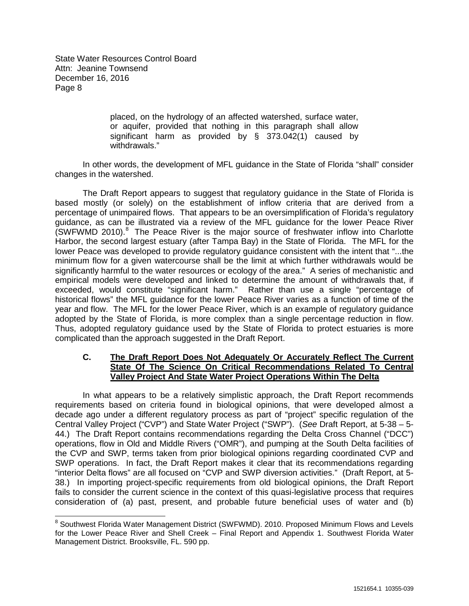> placed, on the hydrology of an affected watershed, surface water, or aquifer, provided that nothing in this paragraph shall allow significant harm as provided by § 373.042(1) caused by withdrawals."

In other words, the development of MFL guidance in the State of Florida "shall" consider changes in the watershed.

The Draft Report appears to suggest that regulatory guidance in the State of Florida is based mostly (or solely) on the establishment of inflow criteria that are derived from a percentage of unimpaired flows. That appears to be an oversimplification of Florida's regulatory guidance, as can be illustrated via a review of the MFL guidance for the lower Peace River  $(SWFWMD 2010).$ <sup>[8](#page-6-1)</sup> The Peace River is the major source of freshwater inflow into Charlotte Harbor, the second largest estuary (after Tampa Bay) in the State of Florida. The MFL for the lower Peace was developed to provide regulatory guidance consistent with the intent that "...the minimum flow for a given watercourse shall be the limit at which further withdrawals would be significantly harmful to the water resources or ecology of the area." A series of mechanistic and empirical models were developed and linked to determine the amount of withdrawals that, if exceeded, would constitute "significant harm." Rather than use a single "percentage of historical flows" the MFL guidance for the lower Peace River varies as a function of time of the year and flow. The MFL for the lower Peace River, which is an example of regulatory guidance adopted by the State of Florida, is more complex than a single percentage reduction in flow. Thus, adopted regulatory guidance used by the State of Florida to protect estuaries is more complicated than the approach suggested in the Draft Report.

# **C. The Draft Report Does Not Adequately Or Accurately Reflect The Current State Of The Science On Critical Recommendations Related To Central Valley Project And State Water Project Operations Within The Delta**

In what appears to be a relatively simplistic approach, the Draft Report recommends requirements based on criteria found in biological opinions, that were developed almost a decade ago under a different regulatory process as part of "project" specific regulation of the Central Valley Project ("CVP") and State Water Project ("SWP"). (*See* Draft Report, at 5-38 – 5- 44.) The Draft Report contains recommendations regarding the Delta Cross Channel ("DCC") operations, flow in Old and Middle Rivers ("OMR"), and pumping at the South Delta facilities of the CVP and SWP, terms taken from prior biological opinions regarding coordinated CVP and SWP operations. In fact, the Draft Report makes it clear that its recommendations regarding "interior Delta flows" are all focused on "CVP and SWP diversion activities." (Draft Report, at 5- 38.) In importing project-specific requirements from old biological opinions, the Draft Report fails to consider the current science in the context of this quasi-legislative process that requires consideration of (a) past, present, and probable future beneficial uses of water and (b)

<span id="page-7-0"></span><sup>&</sup>lt;sup>8</sup> Southwest Florida Water Management District (SWFWMD). 2010. Proposed Minimum Flows and Levels for the Lower Peace River and Shell Creek – Final Report and Appendix 1. Southwest Florida Water Management District. Brooksville, FL. 590 pp.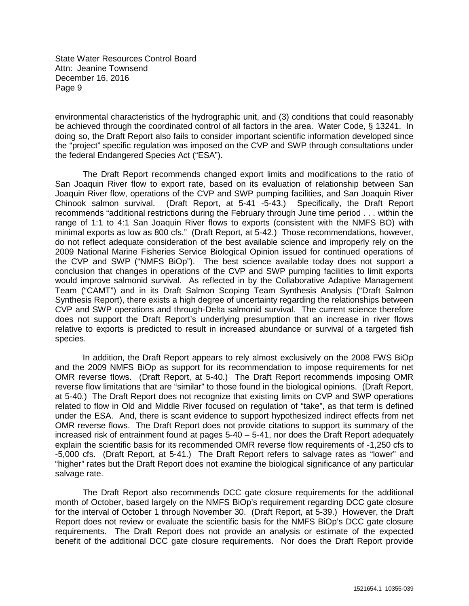environmental characteristics of the hydrographic unit, and (3) conditions that could reasonably be achieved through the coordinated control of all factors in the area. Water Code, § 13241. In doing so, the Draft Report also fails to consider important scientific information developed since the "project" specific regulation was imposed on the CVP and SWP through consultations under the federal Endangered Species Act ("ESA").

The Draft Report recommends changed export limits and modifications to the ratio of San Joaquin River flow to export rate, based on its evaluation of relationship between San Joaquin River flow, operations of the CVP and SWP pumping facilities, and San Joaquin River<br>Chinook salmon survival. (Draft Report, at 5-41 -5-43.) Specifically, the Draft Report (Draft Report, at 5-41 -5-43.) Specifically, the Draft Report recommends "additional restrictions during the February through June time period . . . within the range of 1:1 to 4:1 San Joaquin River flows to exports (consistent with the NMFS BO) with minimal exports as low as 800 cfs." (Draft Report, at 5-42.) Those recommendations, however, do not reflect adequate consideration of the best available science and improperly rely on the 2009 National Marine Fisheries Service Biological Opinion issued for continued operations of the CVP and SWP ("NMFS BiOp"). The best science available today does not support a conclusion that changes in operations of the CVP and SWP pumping facilities to limit exports would improve salmonid survival. As reflected in by the Collaborative Adaptive Management Team ("CAMT") and in its Draft Salmon Scoping Team Synthesis Analysis ("Draft Salmon Synthesis Report), there exists a high degree of uncertainty regarding the relationships between CVP and SWP operations and through-Delta salmonid survival. The current science therefore does not support the Draft Report's underlying presumption that an increase in river flows relative to exports is predicted to result in increased abundance or survival of a targeted fish species.

In addition, the Draft Report appears to rely almost exclusively on the 2008 FWS BiOp and the 2009 NMFS BiOp as support for its recommendation to impose requirements for net OMR reverse flows. (Draft Report, at 5-40.) The Draft Report recommends imposing OMR reverse flow limitations that are "similar" to those found in the biological opinions. (Draft Report, at 5-40.) The Draft Report does not recognize that existing limits on CVP and SWP operations related to flow in Old and Middle River focused on regulation of "take", as that term is defined under the ESA. And, there is scant evidence to support hypothesized indirect effects from net OMR reverse flows. The Draft Report does not provide citations to support its summary of the increased risk of entrainment found at pages 5-40 – 5-41, nor does the Draft Report adequately explain the scientific basis for its recommended OMR reverse flow requirements of -1,250 cfs to -5,000 cfs. (Draft Report, at 5-41.) The Draft Report refers to salvage rates as "lower" and "higher" rates but the Draft Report does not examine the biological significance of any particular salvage rate.

The Draft Report also recommends DCC gate closure requirements for the additional month of October, based largely on the NMFS BiOp's requirement regarding DCC gate closure for the interval of October 1 through November 30. (Draft Report, at 5-39.) However, the Draft Report does not review or evaluate the scientific basis for the NMFS BiOp's DCC gate closure requirements. The Draft Report does not provide an analysis or estimate of the expected benefit of the additional DCC gate closure requirements. Nor does the Draft Report provide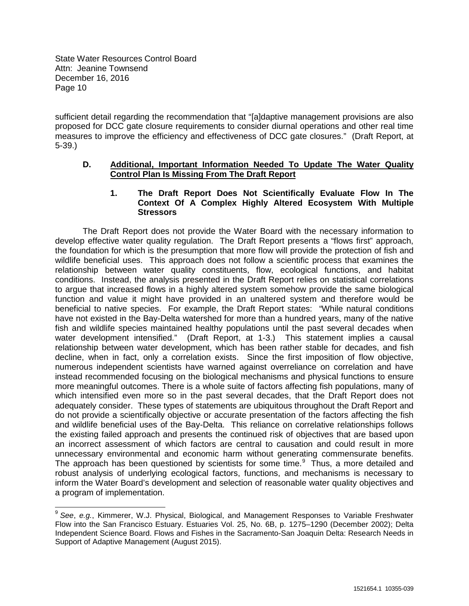sufficient detail regarding the recommendation that "[a]daptive management provisions are also proposed for DCC gate closure requirements to consider diurnal operations and other real time measures to improve the efficiency and effectiveness of DCC gate closures." (Draft Report, at 5-39.)

## **D. Additional, Important Information Needed To Update The Water Quality Control Plan Is Missing From The Draft Report**

# **1. The Draft Report Does Not Scientifically Evaluate Flow In The Context Of A Complex Highly Altered Ecosystem With Multiple Stressors**

The Draft Report does not provide the Water Board with the necessary information to develop effective water quality regulation. The Draft Report presents a "flows first" approach, the foundation for which is the presumption that more flow will provide the protection of fish and wildlife beneficial uses. This approach does not follow a scientific process that examines the relationship between water quality constituents, flow, ecological functions, and habitat conditions. Instead, the analysis presented in the Draft Report relies on statistical correlations to argue that increased flows in a highly altered system somehow provide the same biological function and value it might have provided in an unaltered system and therefore would be beneficial to native species. For example, the Draft Report states: "While natural conditions have not existed in the Bay-Delta watershed for more than a hundred years, many of the native fish and wildlife species maintained healthy populations until the past several decades when water development intensified." (Draft Report, at 1-3.) This statement implies a causal relationship between water development, which has been rather stable for decades, and fish decline, when in fact, only a correlation exists. Since the first imposition of flow objective, numerous independent scientists have warned against overreliance on correlation and have instead recommended focusing on the biological mechanisms and physical functions to ensure more meaningful outcomes. There is a whole suite of factors affecting fish populations, many of which intensified even more so in the past several decades, that the Draft Report does not adequately consider. These types of statements are ubiquitous throughout the Draft Report and do not provide a scientifically objective or accurate presentation of the factors affecting the fish and wildlife beneficial uses of the Bay-Delta. This reliance on correlative relationships follows the existing failed approach and presents the continued risk of objectives that are based upon an incorrect assessment of which factors are central to causation and could result in more unnecessary environmental and economic harm without generating commensurate benefits. The approach has been questioned by scientists for some time.<sup>[9](#page-7-0)</sup> Thus, a more detailed and robust analysis of underlying ecological factors, functions, and mechanisms is necessary to inform the Water Board's development and selection of reasonable water quality objectives and a program of implementation.

<span id="page-9-0"></span> <sup>9</sup> *See*, *e.g.*, Kimmerer, W.J. Physical, Biological, and Management Responses to Variable Freshwater Flow into the San Francisco Estuary. Estuaries Vol. 25, No. 6B, p. 1275–1290 (December 2002); Delta Independent Science Board. Flows and Fishes in the Sacramento-San Joaquin Delta: Research Needs in Support of Adaptive Management (August 2015).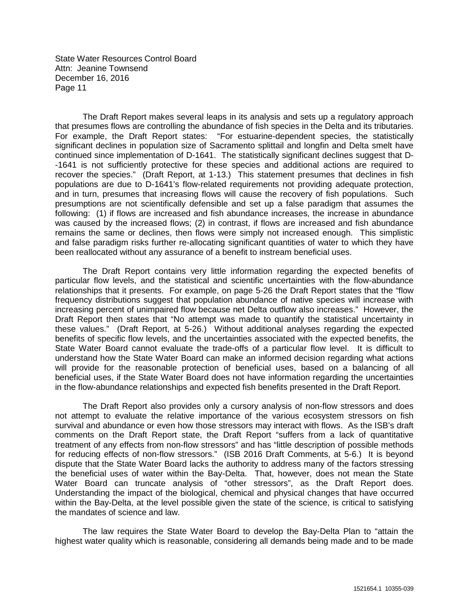The Draft Report makes several leaps in its analysis and sets up a regulatory approach that presumes flows are controlling the abundance of fish species in the Delta and its tributaries. For example, the Draft Report states: "For estuarine-dependent species, the statistically significant declines in population size of Sacramento splittail and longfin and Delta smelt have continued since implementation of D-1641. The statistically significant declines suggest that D- -1641 is not sufficiently protective for these species and additional actions are required to recover the species." (Draft Report, at 1-13.) This statement presumes that declines in fish populations are due to D-1641's flow-related requirements not providing adequate protection, and in turn, presumes that increasing flows will cause the recovery of fish populations. Such presumptions are not scientifically defensible and set up a false paradigm that assumes the following: (1) if flows are increased and fish abundance increases, the increase in abundance was caused by the increased flows; (2) in contrast, if flows are increased and fish abundance remains the same or declines, then flows were simply not increased enough. This simplistic and false paradigm risks further re-allocating significant quantities of water to which they have been reallocated without any assurance of a benefit to instream beneficial uses.

The Draft Report contains very little information regarding the expected benefits of particular flow levels, and the statistical and scientific uncertainties with the flow-abundance relationships that it presents. For example, on page 5-26 the Draft Report states that the "flow frequency distributions suggest that population abundance of native species will increase with increasing percent of unimpaired flow because net Delta outflow also increases." However, the Draft Report then states that "No attempt was made to quantify the statistical uncertainty in these values." (Draft Report, at 5-26.) Without additional analyses regarding the expected benefits of specific flow levels, and the uncertainties associated with the expected benefits, the State Water Board cannot evaluate the trade-offs of a particular flow level. It is difficult to understand how the State Water Board can make an informed decision regarding what actions will provide for the reasonable protection of beneficial uses, based on a balancing of all beneficial uses, if the State Water Board does not have information regarding the uncertainties in the flow-abundance relationships and expected fish benefits presented in the Draft Report.

The Draft Report also provides only a cursory analysis of non-flow stressors and does not attempt to evaluate the relative importance of the various ecosystem stressors on fish survival and abundance or even how those stressors may interact with flows. As the ISB's draft comments on the Draft Report state, the Draft Report "suffers from a lack of quantitative treatment of any effects from non-flow stressors" and has "little description of possible methods for reducing effects of non-flow stressors." (ISB 2016 Draft Comments, at 5-6.) It is beyond dispute that the State Water Board lacks the authority to address many of the factors stressing the beneficial uses of water within the Bay-Delta. That, however, does not mean the State Water Board can truncate analysis of "other stressors", as the Draft Report does. Understanding the impact of the biological, chemical and physical changes that have occurred within the Bay-Delta, at the level possible given the state of the science, is critical to satisfying the mandates of science and law.

The law requires the State Water Board to develop the Bay-Delta Plan to "attain the highest water quality which is reasonable, considering all demands being made and to be made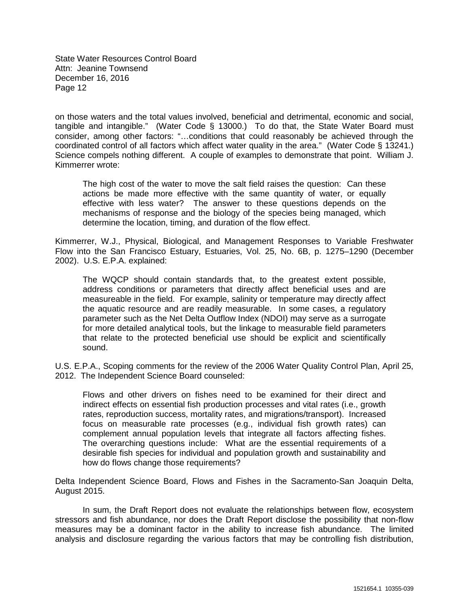on those waters and the total values involved, beneficial and detrimental, economic and social, tangible and intangible." (Water Code § 13000.) To do that, the State Water Board must consider, among other factors: "…conditions that could reasonably be achieved through the coordinated control of all factors which affect water quality in the area." (Water Code § 13241.) Science compels nothing different. A couple of examples to demonstrate that point. William J. Kimmerrer wrote:

The high cost of the water to move the salt field raises the question: Can these actions be made more effective with the same quantity of water, or equally effective with less water? The answer to these questions depends on the mechanisms of response and the biology of the species being managed, which determine the location, timing, and duration of the flow effect.

Kimmerrer, W.J., Physical, Biological, and Management Responses to Variable Freshwater Flow into the San Francisco Estuary, Estuaries, Vol. 25, No. 6B, p. 1275–1290 (December 2002). U.S. E.P.A. explained:

The WQCP should contain standards that, to the greatest extent possible, address conditions or parameters that directly affect beneficial uses and are measureable in the field. For example, salinity or temperature may directly affect the aquatic resource and are readily measurable. In some cases, a regulatory parameter such as the Net Delta Outflow Index (NDOI) may serve as a surrogate for more detailed analytical tools, but the linkage to measurable field parameters that relate to the protected beneficial use should be explicit and scientifically sound.

U.S. E.P.A., Scoping comments for the review of the 2006 Water Quality Control Plan, April 25, 2012. The Independent Science Board counseled:

Flows and other drivers on fishes need to be examined for their direct and indirect effects on essential fish production processes and vital rates (i.e., growth rates, reproduction success, mortality rates, and migrations/transport). Increased focus on measurable rate processes (e.g., individual fish growth rates) can complement annual population levels that integrate all factors affecting fishes. The overarching questions include: What are the essential requirements of a desirable fish species for individual and population growth and sustainability and how do flows change those requirements?

Delta Independent Science Board, Flows and Fishes in the Sacramento-San Joaquin Delta, August 2015.

In sum, the Draft Report does not evaluate the relationships between flow, ecosystem stressors and fish abundance, nor does the Draft Report disclose the possibility that non-flow measures may be a dominant factor in the ability to increase fish abundance. The limited analysis and disclosure regarding the various factors that may be controlling fish distribution,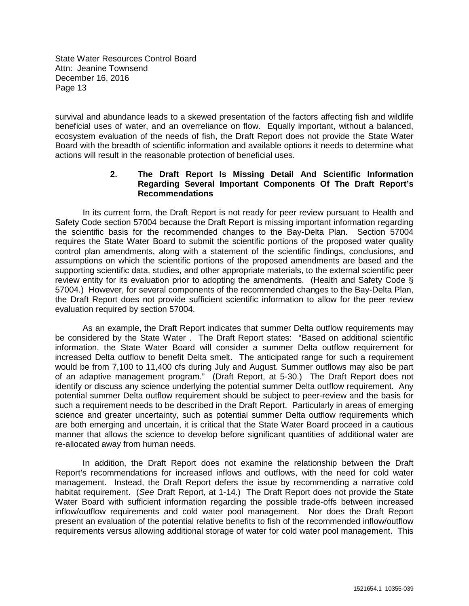survival and abundance leads to a skewed presentation of the factors affecting fish and wildlife beneficial uses of water, and an overreliance on flow. Equally important, without a balanced, ecosystem evaluation of the needs of fish, the Draft Report does not provide the State Water Board with the breadth of scientific information and available options it needs to determine what actions will result in the reasonable protection of beneficial uses.

#### **2. The Draft Report Is Missing Detail And Scientific Information Regarding Several Important Components Of The Draft Report's Recommendations**

In its current form, the Draft Report is not ready for peer review pursuant to Health and Safety Code section 57004 because the Draft Report is missing important information regarding the scientific basis for the recommended changes to the Bay-Delta Plan. Section 57004 requires the State Water Board to submit the scientific portions of the proposed water quality control plan amendments, along with a statement of the scientific findings, conclusions, and assumptions on which the scientific portions of the proposed amendments are based and the supporting scientific data, studies, and other appropriate materials, to the external scientific peer review entity for its evaluation prior to adopting the amendments. (Health and Safety Code § 57004.) However, for several components of the recommended changes to the Bay-Delta Plan, the Draft Report does not provide sufficient scientific information to allow for the peer review evaluation required by section 57004.

As an example, the Draft Report indicates that summer Delta outflow requirements may be considered by the State Water . The Draft Report states: "Based on additional scientific information, the State Water Board will consider a summer Delta outflow requirement for increased Delta outflow to benefit Delta smelt. The anticipated range for such a requirement would be from 7,100 to 11,400 cfs during July and August. Summer outflows may also be part of an adaptive management program." (Draft Report, at 5-30.) The Draft Report does not identify or discuss any science underlying the potential summer Delta outflow requirement. Any potential summer Delta outflow requirement should be subject to peer-review and the basis for such a requirement needs to be described in the Draft Report. Particularly in areas of emerging science and greater uncertainty, such as potential summer Delta outflow requirements which are both emerging and uncertain, it is critical that the State Water Board proceed in a cautious manner that allows the science to develop before significant quantities of additional water are re-allocated away from human needs.

In addition, the Draft Report does not examine the relationship between the Draft Report's recommendations for increased inflows and outflows, with the need for cold water management. Instead, the Draft Report defers the issue by recommending a narrative cold habitat requirement. (*See* Draft Report, at 1-14.) The Draft Report does not provide the State Water Board with sufficient information regarding the possible trade-offs between increased inflow/outflow requirements and cold water pool management. Nor does the Draft Report present an evaluation of the potential relative benefits to fish of the recommended inflow/outflow requirements versus allowing additional storage of water for cold water pool management. This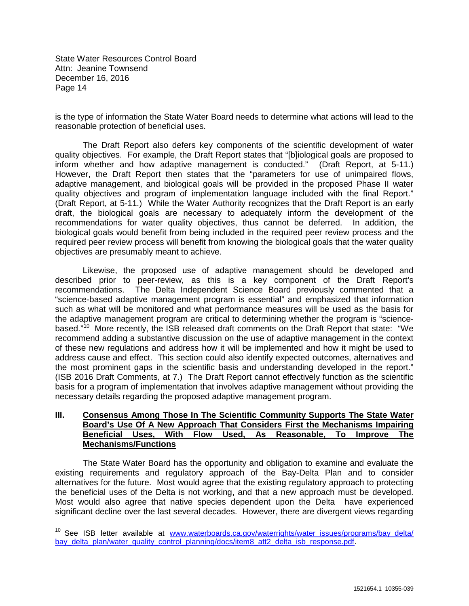is the type of information the State Water Board needs to determine what actions will lead to the reasonable protection of beneficial uses.

The Draft Report also defers key components of the scientific development of water quality objectives. For example, the Draft Report states that "[b]iological goals are proposed to inform whether and how adaptive management is conducted." (Draft Report, at 5-11.) However, the Draft Report then states that the "parameters for use of unimpaired flows, adaptive management, and biological goals will be provided in the proposed Phase II water quality objectives and program of implementation language included with the final Report." (Draft Report, at 5-11.) While the Water Authority recognizes that the Draft Report is an early draft, the biological goals are necessary to adequately inform the development of the recommendations for water quality objectives, thus cannot be deferred. In addition, the biological goals would benefit from being included in the required peer review process and the required peer review process will benefit from knowing the biological goals that the water quality objectives are presumably meant to achieve.

Likewise, the proposed use of adaptive management should be developed and described prior to peer-review, as this is a key component of the Draft Report's recommendations. The Delta Independent Science Board previously commented that a "science-based adaptive management program is essential" and emphasized that information such as what will be monitored and what performance measures will be used as the basis for the adaptive management program are critical to determining whether the program is "sciencebased."<sup>10</sup> More recently, the ISB released draft comments on the Draft Report that state: "We recommend adding a substantive discussion on the use of adaptive management in the context of these new regulations and address how it will be implemented and how it might be used to address cause and effect. This section could also identify expected outcomes, alternatives and the most prominent gaps in the scientific basis and understanding developed in the report." (ISB 2016 Draft Comments, at 7.) The Draft Report cannot effectively function as the scientific basis for a program of implementation that involves adaptive management without providing the necessary details regarding the proposed adaptive management program.

# **III. Consensus Among Those In The Scientific Community Supports The State Water Board's Use Of A New Approach That Considers First the Mechanisms Impairing**  Used, As Reasonable, To Improve The **Mechanisms/Functions**

The State Water Board has the opportunity and obligation to examine and evaluate the existing requirements and regulatory approach of the Bay-Delta Plan and to consider alternatives for the future. Most would agree that the existing regulatory approach to protecting the beneficial uses of the Delta is not working, and that a new approach must be developed. Most would also agree that native species dependent upon the Delta have experienced significant decline over the last several decades. However, there are divergent views regarding

<span id="page-13-0"></span><sup>&</sup>lt;sup>10</sup> See ISB letter available at www.waterboards.ca.gov/waterrights/water\_issues/programs/bay\_delta/ bay delta plan/water quality control planning/docs/item8 att2 delta isb response.pdf.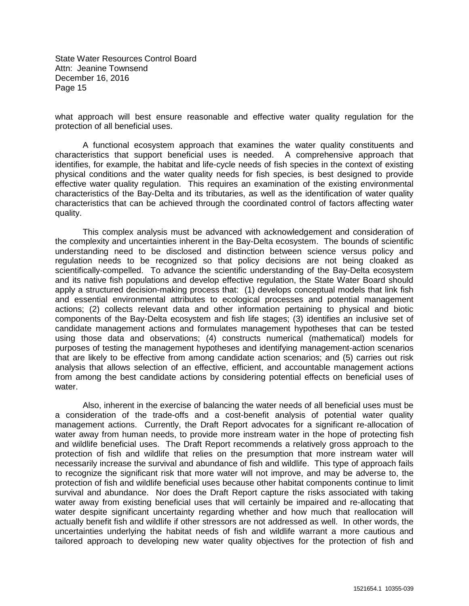what approach will best ensure reasonable and effective water quality regulation for the protection of all beneficial uses.

A functional ecosystem approach that examines the water quality constituents and characteristics that support beneficial uses is needed. A comprehensive approach that identifies, for example, the habitat and life-cycle needs of fish species in the context of existing physical conditions and the water quality needs for fish species, is best designed to provide effective water quality regulation. This requires an examination of the existing environmental characteristics of the Bay-Delta and its tributaries, as well as the identification of water quality characteristics that can be achieved through the coordinated control of factors affecting water quality.

This complex analysis must be advanced with acknowledgement and consideration of the complexity and uncertainties inherent in the Bay-Delta ecosystem. The bounds of scientific understanding need to be disclosed and distinction between science versus policy and regulation needs to be recognized so that policy decisions are not being cloaked as scientifically-compelled. To advance the scientific understanding of the Bay-Delta ecosystem and its native fish populations and develop effective regulation, the State Water Board should apply a structured decision-making process that: (1) develops conceptual models that link fish and essential environmental attributes to ecological processes and potential management actions; (2) collects relevant data and other information pertaining to physical and biotic components of the Bay-Delta ecosystem and fish life stages; (3) identifies an inclusive set of candidate management actions and formulates management hypotheses that can be tested using those data and observations; (4) constructs numerical (mathematical) models for purposes of testing the management hypotheses and identifying management-action scenarios that are likely to be effective from among candidate action scenarios; and (5) carries out risk analysis that allows selection of an effective, efficient, and accountable management actions from among the best candidate actions by considering potential effects on beneficial uses of water.

Also, inherent in the exercise of balancing the water needs of all beneficial uses must be a consideration of the trade-offs and a cost-benefit analysis of potential water quality management actions. Currently, the Draft Report advocates for a significant re-allocation of water away from human needs, to provide more instream water in the hope of protecting fish and wildlife beneficial uses. The Draft Report recommends a relatively gross approach to the protection of fish and wildlife that relies on the presumption that more instream water will necessarily increase the survival and abundance of fish and wildlife. This type of approach fails to recognize the significant risk that more water will not improve, and may be adverse to, the protection of fish and wildlife beneficial uses because other habitat components continue to limit survival and abundance. Nor does the Draft Report capture the risks associated with taking water away from existing beneficial uses that will certainly be impaired and re-allocating that water despite significant uncertainty regarding whether and how much that reallocation will actually benefit fish and wildlife if other stressors are not addressed as well. In other words, the uncertainties underlying the habitat needs of fish and wildlife warrant a more cautious and tailored approach to developing new water quality objectives for the protection of fish and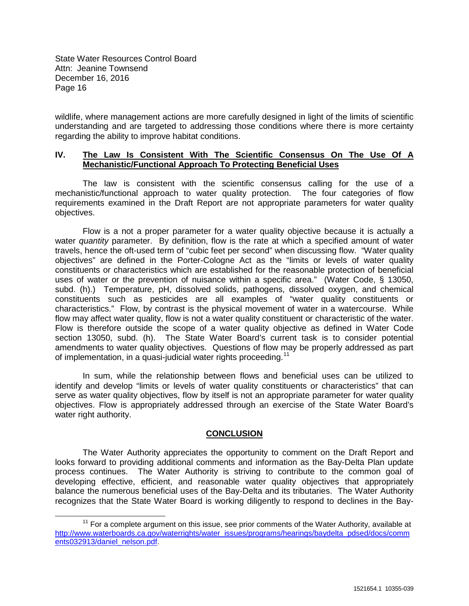wildlife, where management actions are more carefully designed in light of the limits of scientific understanding and are targeted to addressing those conditions where there is more certainty regarding the ability to improve habitat conditions.

## **IV. The Law Is Consistent With The Scientific Consensus On The Use Of A Mechanistic/Functional Approach To Protecting Beneficial Uses**

The law is consistent with the scientific consensus calling for the use of a mechanistic/functional approach to water quality protection. The four categories of flow requirements examined in the Draft Report are not appropriate parameters for water quality objectives.

Flow is a not a proper parameter for a water quality objective because it is actually a water *quantity* parameter. By definition, flow is the rate at which a specified amount of water travels, hence the oft-used term of "cubic feet per second" when discussing flow. "Water quality objectives" are defined in the Porter-Cologne Act as the "limits or levels of water quality constituents or characteristics which are established for the reasonable protection of beneficial uses of water or the prevention of nuisance within a specific area." (Water Code, § 13050, subd. (h).) Temperature, pH, dissolved solids, pathogens, dissolved oxygen, and chemical constituents such as pesticides are all examples of "water quality constituents or characteristics." Flow, by contrast is the physical movement of water in a watercourse. While flow may affect water quality, flow is not a water quality constituent or characteristic of the water. Flow is therefore outside the scope of a water quality objective as defined in Water Code section 13050, subd. (h). The State Water Board's current task is to consider potential amendments to water quality objectives. Questions of flow may be properly addressed as part of implementation, in a quasi-judicial water rights proceeding.<sup>[11](#page-13-0)</sup>

In sum, while the relationship between flows and beneficial uses can be utilized to identify and develop "limits or levels of water quality constituents or characteristics" that can serve as water quality objectives, flow by itself is not an appropriate parameter for water quality objectives. Flow is appropriately addressed through an exercise of the State Water Board's water right authority.

#### **CONCLUSION**

The Water Authority appreciates the opportunity to comment on the Draft Report and looks forward to providing additional comments and information as the Bay-Delta Plan update process continues. The Water Authority is striving to contribute to the common goal of developing effective, efficient, and reasonable water quality objectives that appropriately balance the numerous beneficial uses of the Bay-Delta and its tributaries. The Water Authority recognizes that the State Water Board is working diligently to respond to declines in the Bay-

 $11$  For a complete argument on this issue, see prior comments of the Water Authority, available at [http://www.waterboards.ca.gov/waterrights/water\\_issues/programs/hearings/baydelta\\_pdsed/docs/comm](http://www.waterboards.ca.gov/waterrights/water_issues/programs/hearings/baydelta_pdsed/docs/comments032913/daniel_nelson.pdf) ents032913/daniel\_nelson.pdf